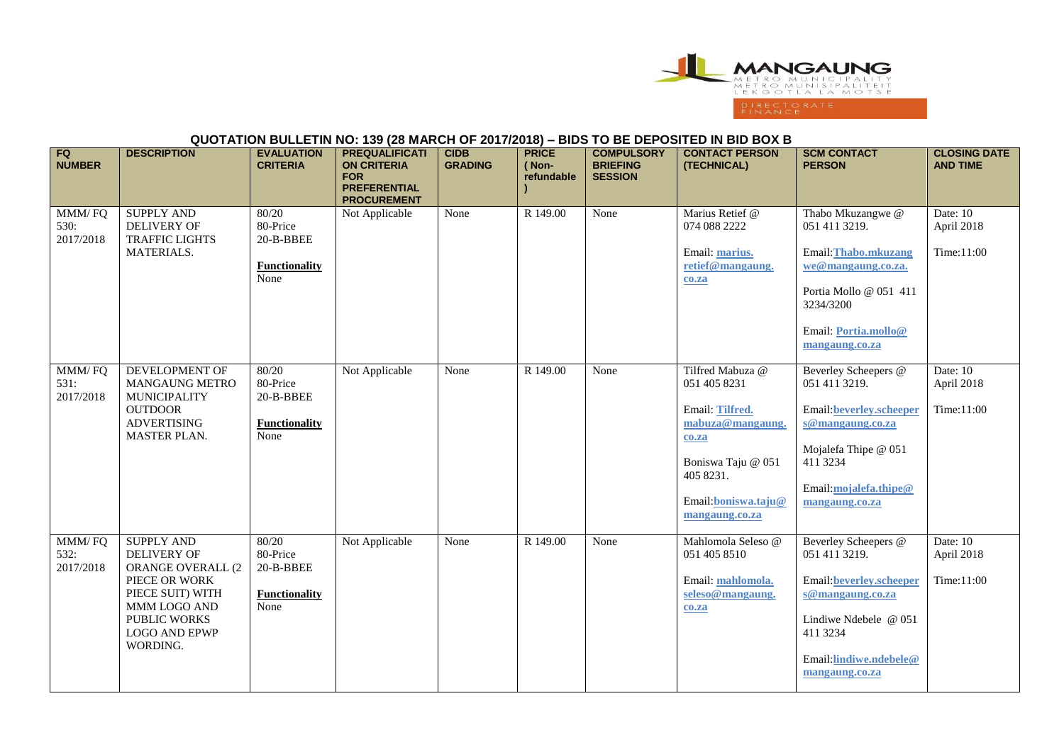

## **QUOTATION BULLETIN NO: 139 (28 MARCH OF 2017/2018) – BIDS TO BE DEPOSITED IN BID BOX B**

| FQ<br><b>NUMBER</b>         | <b>DESCRIPTION</b>                                                                                                                                             | <b>EVALUATION</b><br><b>CRITERIA</b>                           | <b>PREQUALIFICATI</b><br><b>ON CRITERIA</b><br><b>FOR</b><br><b>PREFERENTIAL</b><br><b>PROCUREMENT</b> | <b>CIDB</b><br><b>GRADING</b> | <b>PRICE</b><br>(Non-<br>refundable | <b>COMPULSORY</b><br><b>BRIEFING</b><br><b>SESSION</b> | <b>CONTACT PERSON</b><br>(TECHNICAL)                                                                                                                             | <b>SCM CONTACT</b><br><b>PERSON</b>                                                                                                                                          | <b>CLOSING DATE</b><br><b>AND TIME</b> |
|-----------------------------|----------------------------------------------------------------------------------------------------------------------------------------------------------------|----------------------------------------------------------------|--------------------------------------------------------------------------------------------------------|-------------------------------|-------------------------------------|--------------------------------------------------------|------------------------------------------------------------------------------------------------------------------------------------------------------------------|------------------------------------------------------------------------------------------------------------------------------------------------------------------------------|----------------------------------------|
| MMM/FQ<br>530:<br>2017/2018 | <b>SUPPLY AND</b><br>DELIVERY OF<br><b>TRAFFIC LIGHTS</b><br>MATERIALS.                                                                                        | 80/20<br>80-Price<br>20-B-BBEE<br><b>Functionality</b><br>None | Not Applicable                                                                                         | None                          | R 149.00                            | None                                                   | Marius Retief @<br>074 088 2222<br>Email: marius.<br>retief@mangaung.<br>co.za                                                                                   | Thabo Mkuzangwe @<br>051 411 3219.<br>Email: Thabo.mkuzang<br>we@mangaung.co.za.<br>Portia Mollo @ 051 411<br>3234/3200<br>Email: <b>Portia.mollo@</b><br>mangaung.co.za     | Date: 10<br>April 2018<br>Time:11:00   |
| MMM/FQ<br>531:<br>2017/2018 | DEVELOPMENT OF<br>MANGAUNG METRO<br>MUNICIPALITY<br><b>OUTDOOR</b><br><b>ADVERTISING</b><br><b>MASTER PLAN.</b>                                                | 80/20<br>80-Price<br>20-B-BBEE<br><b>Functionality</b><br>None | Not Applicable                                                                                         | None                          | R 149.00                            | None                                                   | Tilfred Mabuza @<br>051 405 8231<br>Email: Tilfred.<br>mabuza@mangaung.<br>$c0$ .za<br>Boniswa Taju @ 051<br>405 8231.<br>Email: boniswa.taju@<br>mangaung.co.za | Beverley Scheepers @<br>051 411 3219.<br><b>Email:beverley.scheeper</b><br>s@mangaung.co.za<br>Mojalefa Thipe @ 051<br>411 3234<br>Email:mojalefa.thipe@<br>mangaung.co.za   | Date: 10<br>April 2018<br>Time:11:00   |
| MMM/FQ<br>532:<br>2017/2018 | <b>SUPPLY AND</b><br>DELIVERY OF<br>ORANGE OVERALL (2<br>PIECE OR WORK<br>PIECE SUIT) WITH<br>MMM LOGO AND<br>PUBLIC WORKS<br><b>LOGO AND EPWP</b><br>WORDING. | 80/20<br>80-Price<br>20-B-BBEE<br><b>Functionality</b><br>None | Not Applicable                                                                                         | None                          | R 149.00                            | None                                                   | Mahlomola Seleso @<br>051 405 8510<br>Email: mahlomola.<br>seleso@mangaung.<br>$c0$ .za                                                                          | Beverley Scheepers @<br>051 411 3219.<br><b>Email:beverley.scheeper</b><br>s@mangaung.co.za<br>Lindiwe Ndebele @ 051<br>411 3234<br>Email:lindiwe.ndebele@<br>mangaung.co.za | Date: 10<br>April 2018<br>Time:11:00   |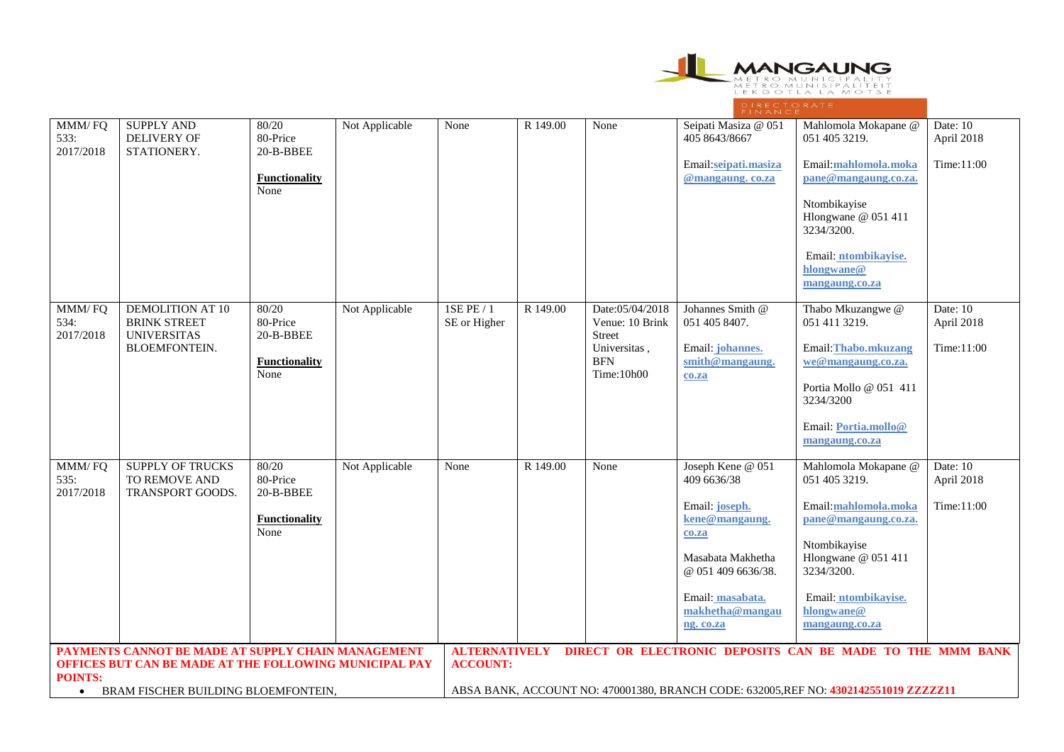

| MMM/FQ                                                                   | <b>SUPPLY AND</b><br>DELIVERY OF                      | 80/20<br>80-Price                         | Not Applicable                                                                       | None                       | R 149.00                                                                          | None                                                      | Seipati Masiza @ 051<br>405 8643/8667                | Mahlomola Mokapane @<br>051 405 3219.                | Date: 10               |  |
|--------------------------------------------------------------------------|-------------------------------------------------------|-------------------------------------------|--------------------------------------------------------------------------------------|----------------------------|-----------------------------------------------------------------------------------|-----------------------------------------------------------|------------------------------------------------------|------------------------------------------------------|------------------------|--|
| 533:<br>2017/2018                                                        | STATIONERY.                                           | 20-B-BBEE                                 |                                                                                      |                            |                                                                                   |                                                           |                                                      |                                                      | April 2018             |  |
|                                                                          |                                                       | <b>Functionality</b><br>None              |                                                                                      |                            |                                                                                   |                                                           | Email:seipati.masiza<br>@mangaung.co.za              | Email:mahlomola.moka<br>pane@mangaung.co.za.         | Time:11:00             |  |
|                                                                          |                                                       |                                           |                                                                                      |                            |                                                                                   |                                                           |                                                      | Ntombikayise<br>Hlongwane @ 051 411<br>3234/3200.    |                        |  |
|                                                                          |                                                       |                                           |                                                                                      |                            |                                                                                   |                                                           |                                                      | Email: ntombikayise.<br>hlongwane@<br>mangaung.co.za |                        |  |
| MMM/FQ<br>534:                                                           | <b>DEMOLITION AT 10</b><br><b>BRINK STREET</b>        | 80/20<br>80-Price                         | Not Applicable                                                                       | 1SE PE / 1<br>SE or Higher | R 149.00                                                                          | Date:05/04/2018<br>Venue: 10 Brink                        | Johannes Smith @<br>051 405 8407.                    | Thabo Mkuzangwe @<br>051 411 3219.                   | Date: 10<br>April 2018 |  |
| 2017/2018                                                                | <b>UNIVERSITAS</b><br><b>BLOEMFONTEIN.</b>            | 20-B-BBEE<br><b>Functionality</b><br>None |                                                                                      |                            |                                                                                   | <b>Street</b><br>Universitas,<br><b>BFN</b><br>Time:10h00 | Email: <i>johannes</i> .<br>smith@mangaung.<br>co.za | Email: Thabo.mkuzang<br>we@mangaung.co.za.           | Time:11:00             |  |
|                                                                          |                                                       |                                           |                                                                                      |                            |                                                                                   |                                                           |                                                      | Portia Mollo @ 051 411<br>3234/3200                  |                        |  |
|                                                                          |                                                       |                                           |                                                                                      |                            |                                                                                   |                                                           |                                                      | Email: Portia.mollo@<br>mangaung.co.za               |                        |  |
| MMM/FQ<br>535:<br>2017/2018                                              | SUPPLY OF TRUCKS<br>TO REMOVE AND<br>TRANSPORT GOODS. | 80/20<br>80-Price<br>20-B-BBEE            | Not Applicable                                                                       | None                       | R 149.00                                                                          | None                                                      | Joseph Kene @ 051<br>409 6636/38                     | Mahlomola Mokapane @<br>051 405 3219.                | Date: 10<br>April 2018 |  |
|                                                                          |                                                       | <b>Functionality</b>                      |                                                                                      |                            |                                                                                   |                                                           | Email: joseph.<br>kene@mangaung.                     | Email:mahlomola.moka<br>pane@mangaung.co.za.         | Time:11:00             |  |
|                                                                          |                                                       | None                                      |                                                                                      |                            |                                                                                   |                                                           | co.za<br>Masabata Makhetha                           | Ntombikayise<br>Hlongwane @ 051 411                  |                        |  |
|                                                                          |                                                       |                                           |                                                                                      |                            |                                                                                   |                                                           | @ 051 409 6636/38.                                   | 3234/3200.                                           |                        |  |
|                                                                          |                                                       |                                           |                                                                                      |                            |                                                                                   |                                                           | Email: masabata.<br>makhetha@mangau                  | Email: ntombikayise.<br>hlongwane@                   |                        |  |
|                                                                          |                                                       |                                           |                                                                                      |                            |                                                                                   |                                                           | ng. co.za                                            | mangaung.co.za                                       |                        |  |
|                                                                          | PAYMENTS CANNOT BE MADE AT SUPPLY CHAIN MANAGEMENT    |                                           |                                                                                      |                            | <b>ALTERNATIVELY</b><br>DIRECT OR ELECTRONIC DEPOSITS CAN BE MADE TO THE MMM BANK |                                                           |                                                      |                                                      |                        |  |
| OFFICES BUT CAN BE MADE AT THE FOLLOWING MUNICIPAL PAY<br><b>POINTS:</b> |                                                       |                                           | <b>ACCOUNT:</b>                                                                      |                            |                                                                                   |                                                           |                                                      |                                                      |                        |  |
| BRAM FISCHER BUILDING BLOEMFONTEIN,<br>$\bullet$                         |                                                       |                                           | ABSA BANK, ACCOUNT NO: 470001380, BRANCH CODE: 632005, REF NO: 4302142551019 ZZZZZ11 |                            |                                                                                   |                                                           |                                                      |                                                      |                        |  |